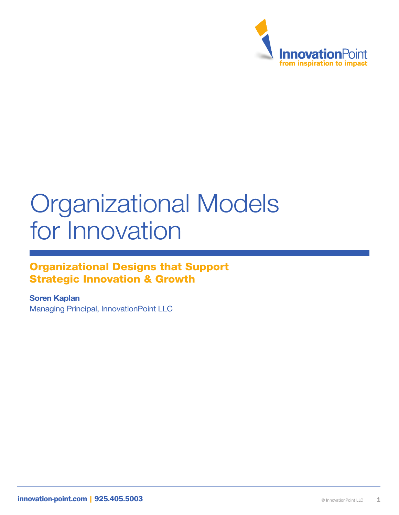

# Organizational Models for Innovation

# Organizational Designs that Support Strategic Innovation & Growth

Soren Kaplan Managing Principal, InnovationPoint LLC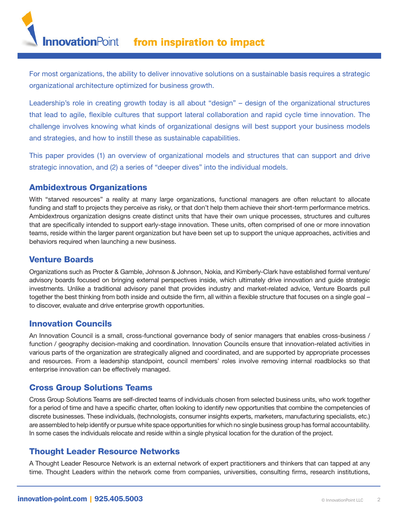For most organizations, the ability to deliver innovative solutions on a sustainable basis requires a strategic organizational architecture optimized for business growth.

Leadership's role in creating growth today is all about "design" – design of the organizational structures that lead to agile, flexible cultures that support lateral collaboration and rapid cycle time innovation. The challenge involves knowing what kinds of organizational designs will best support your business models and strategies, and how to instill these as sustainable capabilities.

This paper provides (1) an overview of organizational models and structures that can support and drive strategic innovation, and (2) a series of "deeper dives" into the individual models.

### Ambidextrous Organizations

With "starved resources" a reality at many large organizations, functional managers are often reluctant to allocate funding and staff to projects they perceive as risky, or that don't help them achieve their short-term performance metrics. Ambidextrous organization designs create distinct units that have their own unique processes, structures and cultures that are specifically intended to support early-stage innovation. These units, often comprised of one or more innovation teams, reside within the larger parent organization but have been set up to support the unique approaches, activities and behaviors required when launching a new business.

### Venture Boards

Organizations such as Procter & Gamble, Johnson & Johnson, Nokia, and Kimberly-Clark have established formal venture/ advisory boards focused on bringing external perspectives inside, which ultimately drive innovation and guide strategic investments. Unlike a traditional advisory panel that provides industry and market-related advice, Venture Boards pull together the best thinking from both inside and outside the firm, all within a flexible structure that focuses on a single goal – to discover, evaluate and drive enterprise growth opportunities.

### Innovation Councils

An Innovation Council is a small, cross-functional governance body of senior managers that enables cross-business / function / geography decision-making and coordination. Innovation Councils ensure that innovation-related activities in various parts of the organization are strategically aligned and coordinated, and are supported by appropriate processes and resources. From a leadership standpoint, council members' roles involve removing internal roadblocks so that enterprise innovation can be effectively managed.

### Cross Group Solutions Teams

Cross Group Solutions Teams are self-directed teams of individuals chosen from selected business units, who work together for a period of time and have a specific charter, often looking to identify new opportunities that combine the competencies of discrete businesses. These individuals, (technologists, consumer insights experts, marketers, manufacturing specialists, etc.) are assembled to help identify or pursue white space opportunities for which no single business group has formal accountability. In some cases the individuals relocate and reside within a single physical location for the duration of the project.

### Thought Leader Resource Networks

A Thought Leader Resource Network is an external network of expert practitioners and thinkers that can tapped at any time. Thought Leaders within the network come from companies, universities, consulting firms, research institutions,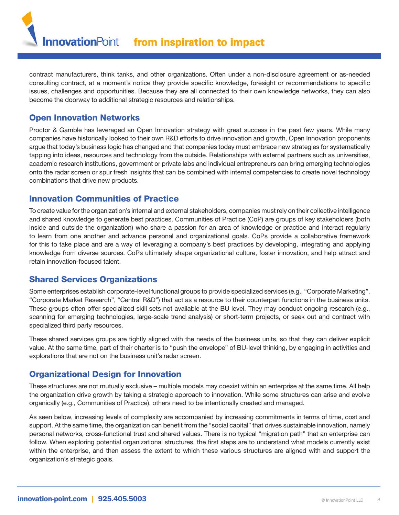

contract manufacturers, think tanks, and other organizations. Often under a non-disclosure agreement or as-needed consulting contract, at a moment's notice they provide specific knowledge, foresight or recommendations to specific issues, challenges and opportunities. Because they are all connected to their own knowledge networks, they can also become the doorway to additional strategic resources and relationships.

### Open Innovation Networks

Proctor & Gamble has leveraged an Open Innovation strategy with great success in the past few years. While many companies have historically looked to their own R&D efforts to drive innovation and growth, Open Innovation proponents argue that today's business logic has changed and that companies today must embrace new strategies for systematically tapping into ideas, resources and technology from the outside. Relationships with external partners such as universities, academic research institutions, government or private labs and individual entrepreneurs can bring emerging technologies onto the radar screen or spur fresh insights that can be combined with internal competencies to create novel technology combinations that drive new products.

#### Innovation Communities of Practice

To create value for the organization's internal and external stakeholders, companies must rely on their collective intelligence and shared knowledge to generate best practices. Communities of Practice (CoP) are groups of key stakeholders (both inside and outside the organization) who share a passion for an area of knowledge or practice and interact regularly to learn from one another and advance personal and organizational goals. CoPs provide a collaborative framework for this to take place and are a way of leveraging a company's best practices by developing, integrating and applying knowledge from diverse sources. CoPs ultimately shape organizational culture, foster innovation, and help attract and retain innovation-focused talent.

#### Shared Services Organizations

Some enterprises establish corporate-level functional groups to provide specialized services (e.g., "Corporate Marketing", "Corporate Market Research", "Central R&D") that act as a resource to their counterpart functions in the business units. These groups often offer specialized skill sets not available at the BU level. They may conduct ongoing research (e.g., scanning for emerging technologies, large-scale trend analysis) or short-term projects, or seek out and contract with specialized third party resources.

These shared services groups are tightly aligned with the needs of the business units, so that they can deliver explicit value. At the same time, part of their charter is to "push the envelope" of BU-level thinking, by engaging in activities and explorations that are not on the business unit's radar screen.

### Organizational Design for Innovation

These structures are not mutually exclusive – multiple models may coexist within an enterprise at the same time. All help the organization drive growth by taking a strategic approach to innovation. While some structures can arise and evolve organically (e.g., Communities of Practice), others need to be intentionally created and managed.

As seen below, increasing levels of complexity are accompanied by increasing commitments in terms of time, cost and support. At the same time, the organization can benefit from the "social capital" that drives sustainable innovation, namely personal networks, cross-functional trust and shared values. There is no typical "migration path" that an enterprise can follow. When exploring potential organizational structures, the first steps are to understand what models currently exist within the enterprise, and then assess the extent to which these various structures are aligned with and support the organization's strategic goals.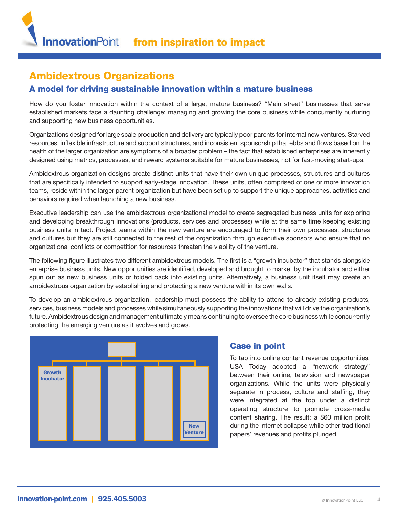# Ambidextrous Organizations

### A model for driving sustainable innovation within a mature business

How do you foster innovation within the context of a large, mature business? "Main street" businesses that serve established markets face a daunting challenge: managing and growing the core business while concurrently nurturing and supporting new business opportunities.

Organizations designed for large scale production and delivery are typically poor parents for internal new ventures. Starved resources, inflexible infrastructure and support structures, and inconsistent sponsorship that ebbs and flows based on the health of the larger organization are symptoms of a broader problem – the fact that established enterprises are inherently designed using metrics, processes, and reward systems suitable for mature businesses, not for fast-moving start-ups.

Ambidextrous organization designs create distinct units that have their own unique processes, structures and cultures that are specifically intended to support early-stage innovation. These units, often comprised of one or more innovation teams, reside within the larger parent organization but have been set up to support the unique approaches, activities and behaviors required when launching a new business.

Executive leadership can use the ambidextrous organizational model to create segregated business units for exploring and developing breakthrough innovations (products, services and processes) while at the same time keeping existing business units in tact. Project teams within the new venture are encouraged to form their own processes, structures and cultures but they are still connected to the rest of the organization through executive sponsors who ensure that no organizational conflicts or competition for resources threaten the viability of the venture.

The following figure illustrates two different ambidextrous models. The first is a "growth incubator" that stands alongside enterprise business units. New opportunities are identified, developed and brought to market by the incubator and either spun out as new business units or folded back into existing units. Alternatively, a business unit itself may create an ambidextrous organization by establishing and protecting a new venture within its own walls.

To develop an ambidextrous organization, leadership must possess the ability to attend to already existing products, services, business models and processes while simultaneously supporting the innovations that will drive the organization's future. Ambidextrous design and management ultimately means continuing to oversee the core business while concurrently protecting the emerging venture as it evolves and grows.



### Case in point

To tap into online content revenue opportunities, USA Today adopted a "network strategy" between their online, television and newspaper organizations. While the units were physically separate in process, culture and staffing, they were integrated at the top under a distinct operating structure to promote cross-media content sharing. The result: a \$60 million profit during the internet collapse while other traditional papers' revenues and profits plunged.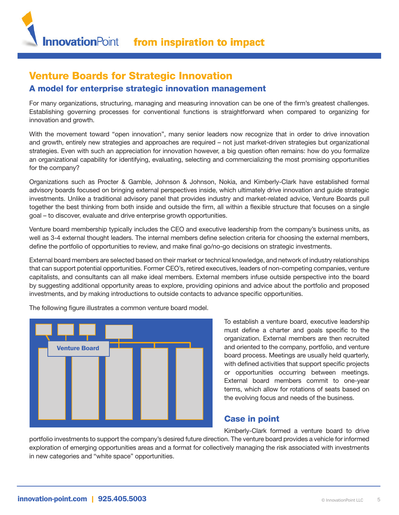### Venture Boards for Strategic Innovation A model for enterprise strategic innovation management

For many organizations, structuring, managing and measuring innovation can be one of the firm's greatest challenges. Establishing governing processes for conventional functions is straightforward when compared to organizing for innovation and growth.

With the movement toward "open innovation", many senior leaders now recognize that in order to drive innovation and growth, entirely new strategies and approaches are required – not just market-driven strategies but organizational strategies. Even with such an appreciation for innovation however, a big question often remains: how do you formalize an organizational capability for identifying, evaluating, selecting and commercializing the most promising opportunities for the company?

Organizations such as Procter & Gamble, Johnson & Johnson, Nokia, and Kimberly-Clark have established formal advisory boards focused on bringing external perspectives inside, which ultimately drive innovation and guide strategic investments. Unlike a traditional advisory panel that provides industry and market-related advice, Venture Boards pull together the best thinking from both inside and outside the firm, all within a flexible structure that focuses on a single goal – to discover, evaluate and drive enterprise growth opportunities.

Venture board membership typically includes the CEO and executive leadership from the company's business units, as well as 3-4 external thought leaders. The internal members define selection criteria for choosing the external members, define the portfolio of opportunities to review, and make final go/no-go decisions on strategic investments.

External board members are selected based on their market or technical knowledge, and network of industry relationships that can support potential opportunities. Former CEO's, retired executives, leaders of non-competing companies, venture capitalists, and consultants can all make ideal members. External members infuse outside perspective into the board by suggesting additional opportunity areas to explore, providing opinions and advice about the portfolio and proposed investments, and by making introductions to outside contacts to advance specific opportunities.



The following figure illustrates a common venture board model.

To establish a venture board, executive leadership must define a charter and goals specific to the organization. External members are then recruited and oriented to the company, portfolio, and venture board process. Meetings are usually held quarterly, with defined activities that support specific projects or opportunities occurring between meetings. External board members commit to one-year terms, which allow for rotations of seats based on the evolving focus and needs of the business.

### Case in point

Kimberly-Clark formed a venture board to drive

portfolio investments to support the company's desired future direction. The venture board provides a vehicle for informed exploration of emerging opportunities areas and a format for collectively managing the risk associated with investments in new categories and "white space" opportunities.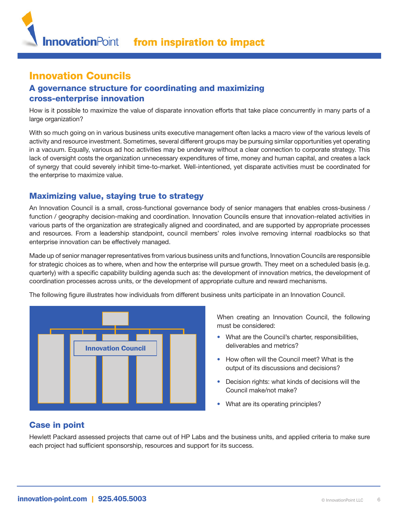

# Innovation Councils

### A governance structure for coordinating and maximizing cross-enterprise innovation

How is it possible to maximize the value of disparate innovation efforts that take place concurrently in many parts of a large organization?

With so much going on in various business units executive management often lacks a macro view of the various levels of activity and resource investment. Sometimes, several different groups may be pursuing similar opportunities yet operating in a vacuum. Equally, various ad hoc activities may be underway without a clear connection to corporate strategy. This lack of oversight costs the organization unnecessary expenditures of time, money and human capital, and creates a lack of synergy that could severely inhibit time-to-market. Well-intentioned, yet disparate activities must be coordinated for the enterprise to maximize value.

### Maximizing value, staying true to strategy

An Innovation Council is a small, cross-functional governance body of senior managers that enables cross-business / function / geography decision-making and coordination. Innovation Councils ensure that innovation-related activities in various parts of the organization are strategically aligned and coordinated, and are supported by appropriate processes and resources. From a leadership standpoint, council members' roles involve removing internal roadblocks so that enterprise innovation can be effectively managed.

Made up of senior manager representatives from various business units and functions, Innovation Councils are responsible for strategic choices as to where, when and how the enterprise will pursue growth. They meet on a scheduled basis (e.g. quarterly) with a specific capability building agenda such as: the development of innovation metrics, the development of coordination processes across units, or the development of appropriate culture and reward mechanisms.



The following figure illustrates how individuals from different business units participate in an Innovation Council.

When creating an Innovation Council, the following must be considered:

- What are the Council's charter, responsibilities, deliverables and metrics?
- How often will the Council meet? What is the output of its discussions and decisions?
- Decision rights: what kinds of decisions will the Council make/not make?
- What are its operating principles?

### Case in point

Hewlett Packard assessed projects that came out of HP Labs and the business units, and applied criteria to make sure each project had sufficient sponsorship, resources and support for its success.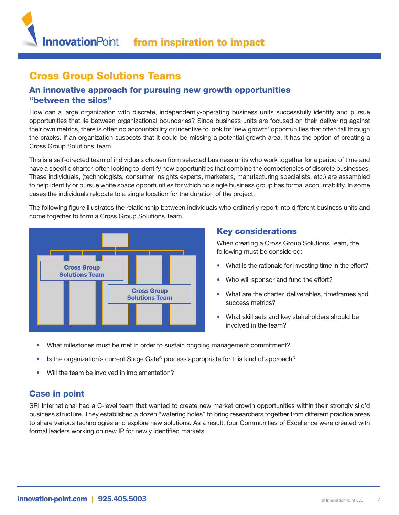

# Cross Group Solutions Teams

### An innovative approach for pursuing new growth opportunities "between the silos"

How can a large organization with discrete, independently-operating business units successfully identify and pursue opportunities that lie between organizational boundaries? Since business units are focused on their delivering against their own metrics, there is often no accountability or incentive to look for 'new growth' opportunities that often fall through the cracks. If an organization suspects that it could be missing a potential growth area, it has the option of creating a Cross Group Solutions Team.

This is a self-directed team of individuals chosen from selected business units who work together for a period of time and have a specific charter, often looking to identify new opportunities that combine the competencies of discrete businesses. These individuals, (technologists, consumer insights experts, marketers, manufacturing specialists, etc.) are assembled to help identify or pursue white space opportunities for which no single business group has formal accountability. In some cases the individuals relocate to a single location for the duration of the project.

The following figure illustrates the relationship between individuals who ordinarily report into different business units and come together to form a Cross Group Solutions Team.



#### Key considerations

When creating a Cross Group Solutions Team, the following must be considered:

- What is the rationale for investing time in the effort?
- Who will sponsor and fund the effort?
- What are the charter, deliverables, timeframes and success metrics?
- What skill sets and key stakeholders should be involved in the team?
- What milestones must be met in order to sustain ongoing management commitment?
- Is the organization's current Stage Gate® process appropriate for this kind of approach?
- Will the team be involved in implementation?

### Case in point

SRI International had a C-level team that wanted to create new market growth opportunities within their strongly silo'd business structure. They established a dozen "watering holes" to bring researchers together from different practice areas to share various technologies and explore new solutions. As a result, four Communities of Excellence were created with formal leaders working on new IP for newly identified markets.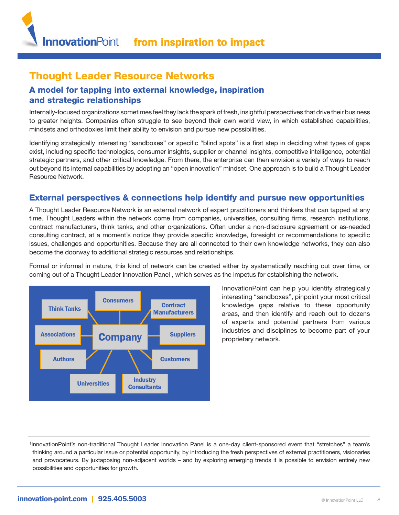# Thought Leader Resource Networks

### A model for tapping into external knowledge, inspiration and strategic relationships

Internally-focused organizations sometimes feel they lack the spark of fresh, insightful perspectives that drive their business to greater heights. Companies often struggle to see beyond their own world view, in which established capabilities, mindsets and orthodoxies limit their ability to envision and pursue new possibilities.

Identifying strategically interesting "sandboxes" or specific "blind spots" is a first step in deciding what types of gaps exist, including specific technologies, consumer insights, supplier or channel insights, competitive intelligence, potential strategic partners, and other critical knowledge. From there, the enterprise can then envision a variety of ways to reach out beyond its internal capabilities by adopting an "open innovation" mindset. One approach is to build a Thought Leader Resource Network.

### External perspectives & connections help identify and pursue new opportunities

A Thought Leader Resource Network is an external network of expert practitioners and thinkers that can tapped at any time. Thought Leaders within the network come from companies, universities, consulting firms, research institutions, contract manufacturers, think tanks, and other organizations. Often under a non-disclosure agreement or as-needed consulting contract, at a moment's notice they provide specific knowledge, foresight or recommendations to specific issues, challenges and opportunities. Because they are all connected to their own knowledge networks, they can also become the doorway to additional strategic resources and relationships.

Formal or informal in nature, this kind of network can be created either by systematically reaching out over time, or coming out of a Thought Leader Innovation Panel , which serves as the impetus for establishing the network.



InnovationPoint can help you identify strategically interesting "sandboxes", pinpoint your most critical knowledge gaps relative to these opportunity areas, and then identify and reach out to dozens of experts and potential partners from various industries and disciplines to become part of your proprietary network.

1 InnovationPoint's non-traditional Thought Leader Innovation Panel is a one-day client-sponsored event that "stretches" a team's thinking around a particular issue or potential opportunity, by introducing the fresh perspectives of external practitioners, visionaries and provocateurs. By juxtaposing non-adjacent worlds – and by exploring emerging trends it is possible to envision entirely new possibilities and opportunities for growth.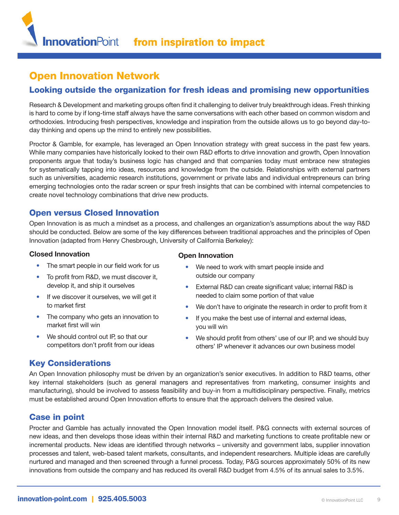

# Open Innovation Network

### Looking outside the organization for fresh ideas and promising new opportunities

Research & Development and marketing groups often find it challenging to deliver truly breakthrough ideas. Fresh thinking is hard to come by if long-time staff always have the same conversations with each other based on common wisdom and orthodoxies. Introducing fresh perspectives, knowledge and inspiration from the outside allows us to go beyond day-today thinking and opens up the mind to entirely new possibilities.

Proctor & Gamble, for example, has leveraged an Open Innovation strategy with great success in the past few years. While many companies have historically looked to their own R&D efforts to drive innovation and growth, Open Innovation proponents argue that today's business logic has changed and that companies today must embrace new strategies for systematically tapping into ideas, resources and knowledge from the outside. Relationships with external partners such as universities, academic research institutions, government or private labs and individual entrepreneurs can bring emerging technologies onto the radar screen or spur fresh insights that can be combined with internal competencies to create novel technology combinations that drive new products.

#### Open versus Closed Innovation

Open Innovation is as much a mindset as a process, and challenges an organization's assumptions about the way R&D should be conducted. Below are some of the key differences between traditional approaches and the principles of Open Innovation (adapted from Henry Chesbrough, University of California Berkeley):

#### Closed Innovation

- The smart people in our field work for us
- To profit from R&D, we must discover it, develop it, and ship it ourselves
- If we discover it ourselves, we will get it to market first
- The company who gets an innovation to market first will win
- We should control out IP, so that our competitors don't profit from our ideas

#### Open Innovation

- We need to work with smart people inside and outside our company
- External R&D can create significant value; internal R&D is needed to claim some portion of that value
- We don't have to originate the research in order to profit from it
- If you make the best use of internal and external ideas, you will win
- We should profit from others' use of our IP, and we should buy others' IP whenever it advances our own business model

#### Key Considerations

An Open Innovation philosophy must be driven by an organization's senior executives. In addition to R&D teams, other key internal stakeholders (such as general managers and representatives from marketing, consumer insights and manufacturing), should be involved to assess feasibility and buy-in from a multidisciplinary perspective. Finally, metrics must be established around Open Innovation efforts to ensure that the approach delivers the desired value.

#### Case in point

Procter and Gamble has actually innovated the Open Innovation model itself. P&G connects with external sources of new ideas, and then develops those ideas within their internal R&D and marketing functions to create profitable new or incremental products. New ideas are identified through networks – university and government labs, supplier innovation processes and talent, web-based talent markets, consultants, and independent researchers. Multiple ideas are carefully nurtured and managed and then screened through a funnel process. Today, P&G sources approximately 50% of its new innovations from outside the company and has reduced its overall R&D budget from 4.5% of its annual sales to 3.5%.